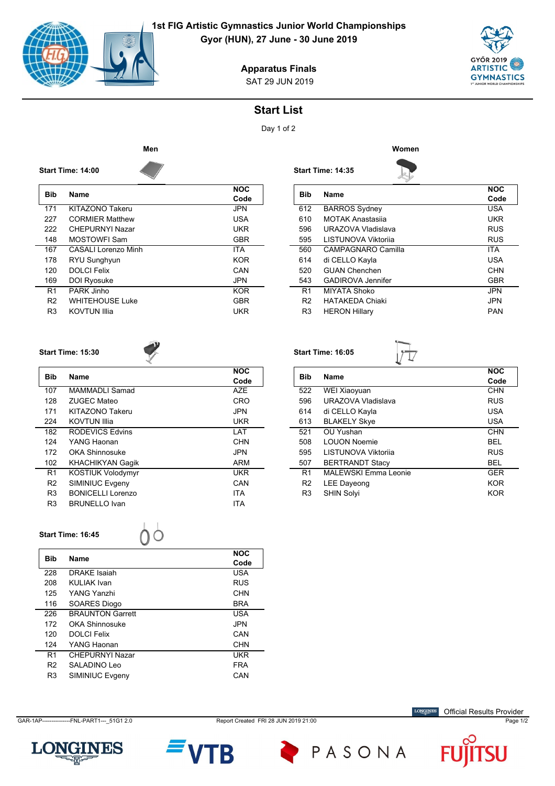

## **1st FIG Artistic Gymnastics Junior World Championships**

**Gyor (HUN), 27 June - 30 June 2019**



SAT 29 JUN 2019 **Apparatus Finals**

## **Start List**

Day 1 of 2



**Start Time: 14:35**

**Start Time: 16:05**



| <b>Bib</b>     | Name                       | <b>NOC</b><br>Code | Bil   |
|----------------|----------------------------|--------------------|-------|
| 171            | KITAZONO Takeru            | <b>JPN</b>         | 612   |
| 227            | <b>CORMIER Matthew</b>     | <b>USA</b>         | 61    |
| 222            | <b>CHEPURNYI Nazar</b>     | <b>UKR</b>         | 59    |
| 148            | <b>MOSTOWFI Sam</b>        | <b>GBR</b>         | 59    |
| 167            | <b>CASALI Lorenzo Minh</b> | <b>ITA</b>         | 56    |
| 178            | RYU Sunghyun               | <b>KOR</b>         | 614   |
| 120            | <b>DOLCI Felix</b>         | CAN                | 52(   |
| 169            | DOI Ryosuke                | <b>JPN</b>         | 54    |
| R <sub>1</sub> | PARK Jinho                 | <b>KOR</b>         | $R^2$ |
| R <sub>2</sub> | <b>WHITEHOUSE Luke</b>     | <b>GBR</b>         | R.    |
| R <sub>3</sub> | <b>KOVTUN Illia</b>        | <b>UKR</b>         | R.    |
|                |                            |                    |       |

| <b>Bib</b>     | <b>Name</b>                | <b>NOC</b><br>Code |
|----------------|----------------------------|--------------------|
| 612            | <b>BARROS Sydney</b>       | <b>USA</b>         |
| 610            | <b>MOTAK Anastasija</b>    | UKR                |
| 596            | URAZOVA Vladislava         | <b>RUS</b>         |
| 595            | <b>LISTUNOVA Viktorija</b> | <b>RUS</b>         |
| 560            | CAMPAGNARO Camilla         | <b>ITA</b>         |
| 614            | di CELLO Kayla             | <b>USA</b>         |
| 520            | <b>GUAN Chenchen</b>       | <b>CHN</b>         |
| 543            | GADIROVA Jennifer          | <b>GBR</b>         |
| R <sub>1</sub> | MIYATA Shoko               | <b>JPN</b>         |
| R <sub>2</sub> | <b>HATAKFDA Chiaki</b>     | <b>JPN</b>         |
| R <sub>3</sub> | <b>HERON Hillary</b>       | <b>PAN</b>         |
|                |                            |                    |

## **Start Time: 15:30**

**Start Time: 14:00**



| <b>Bib</b>     | <b>Name</b>              | <b>NOC</b> |
|----------------|--------------------------|------------|
|                |                          | Code       |
| 107            | MAMMADI I Samad          | <b>AZE</b> |
| 128            | <b>ZUGEC Mateo</b>       | CRO        |
| 171            | KITAZONO Takeru          | <b>JPN</b> |
| 224            | KOVTUN Illia             | UKR        |
| 182            | RODEVICS Edvins          | LAT        |
| 124            | YANG Haonan              | <b>CHN</b> |
| 172            | <b>OKA Shinnosuke</b>    | <b>JPN</b> |
| 102            | <b>KHACHIKYAN Gagik</b>  | ARM        |
| R <sub>1</sub> | <b>KOSTIUK Volodymyr</b> | UKR        |
| R <sub>2</sub> | SIMINIUC Evgeny          | CAN        |
| R <sub>3</sub> | <b>BONICELLI Lorenzo</b> | <b>ITA</b> |
| R <sub>3</sub> | <b>BRUNELLO Ivan</b>     | <b>ITA</b> |

|            |                        | <b>NOC</b> |
|------------|------------------------|------------|
| <b>Bib</b> | Name                   | Code       |
| 522        | WEI Xiaoyuan           | <b>CHN</b> |
| 596        | URAZOVA Vladislava     | <b>RUS</b> |
| 614        | di CELLO Kayla         | USA        |
| 613        | <b>BLAKELY Skye</b>    | <b>USA</b> |
| 521        | OU Yushan              | <b>CHN</b> |
| 508        | <b>LOUON Noemie</b>    | BEL        |
| 595        | LISTUNOVA Viktorija    | <b>RUS</b> |
| 507        | <b>BERTRANDT Stacy</b> | BEL        |

R1 MALEWSKI Emma Leonie GER R2 LEE Dayeong **KOR** R3 SHIN Solyi **KOR** 

**Start Time: 16:45**

| Bib            | <b>Name</b>             | <b>NOC</b> |
|----------------|-------------------------|------------|
|                |                         | Code       |
| 228            | <b>DRAKE</b> Isaiah     | USA        |
| 208            | KULIAK Ivan             | <b>RUS</b> |
| 125            | YANG Yanzhi             | CHN        |
| 116            | SOARES Diogo            | <b>BRA</b> |
| 226            | <b>BRAUNTON Garrett</b> | USA        |
| 172            | OKA Shinnosuke          | JPN.       |
| 120            | DOI CI Felix            | CAN        |
| 124            | YANG Haonan             | <b>CHN</b> |
| R <sub>1</sub> | CHEPURNYI Nazar         | UKR        |
| R <sub>2</sub> | SALADINO Leo            | <b>FRA</b> |
| R <sub>3</sub> | SIMINIUC Evgeny         | CAN        |
|                |                         |            |

 $00$ 

GAR-1AP----------------FNL-PART1---\_51G1 2.0 Report Created FRI 28 JUN 2019 21:00 Page 1/2



PASONA

 $\label{eq:conformal} \begin{minipage}{.4\linewidth} \textbf{LONGINES} \end{minipage}$ Official Results Provider



B